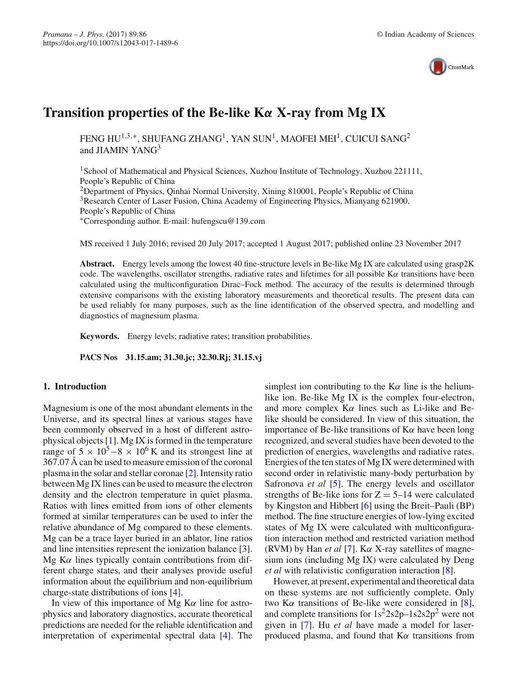

# **Transition properties of the Be-like K***α* **X-ray from Mg IX**

FENG HU<sup>1,3,∗</sup>, SHUFANG ZHANG<sup>1</sup>, YAN SUN<sup>1</sup>, MAOFEI MEI<sup>1</sup>, CUICUI SANG<sup>2</sup> and IIAMIN YANG<sup>3</sup>

<sup>1</sup>School of Mathematical and Physical Sciences, Xuzhou Institute of Technology, Xuzhou 221111, People's Republic of China

<sup>2</sup>Department of Physics, Qinhai Normal University, Xining 810001, People's Republic of China 3Research Center of Laser Fusion, China Academy of Engineering Physics, Mianyang 621900, People's Republic of China

∗Corresponding author. E-mail: hufengscu@139.com

MS received 1 July 2016; revised 20 July 2017; accepted 1 August 2017; published online 23 November 2017

**Abstract.** Energy levels among the lowest 40 fine-structure levels in Be-like Mg IX are calculated using grasp2K code. The wavelengths, oscillator strengths, radiative rates and lifetimes for all possible  $K\alpha$  transitions have been calculated using the multiconfiguration Dirac–Fock method. The accuracy of the results is determined through extensive comparisons with the existing laboratory measurements and theoretical results. The present data can be used reliably for many purposes, such as the line identification of the observed spectra, and modelling and diagnostics of magnesium plasma.

**Keywords.** Energy levels; radiative rates; transition probabilities.

**PACS Nos 31.15.am; 31.30.jc; 32.30.Rj; 31.15.vj**

## **1. Introduction**

Magnesium is one of the most abundant elements in the Universe, and its spectral lines at various stages have been commonly observed in a host of different astrophysical objects [\[1](#page-6-0)]. Mg IX is formed in the temperature range of  $5 \times 10^5 - 8 \times 10^6$  K and its strongest line at 367.07 Å can be used to measure emission of the coronal plasma in the solar and stellar coronae [\[2](#page-6-1)]. Intensity ratio between Mg IX lines can be used to measure the electron density and the electron temperature in quiet plasma. Ratios with lines emitted from ions of other elements formed at similar temperatures can be used to infer the relative abundance of Mg compared to these elements. Mg can be a trace layer buried in an ablator, line ratios and line intensities represent the ionization balance [\[3](#page-6-2)]. Mg K $\alpha$  lines typically contain contributions from different charge states, and their analyses provide useful information about the equilibrium and non-equilibrium charge-state distributions of ions [\[4](#page-6-3)].

In view of this importance of Mg  $K\alpha$  line for astrophysics and laboratory diagnostics, accurate theoretical predictions are needed for the reliable identification and interpretation of experimental spectral data [\[4\]](#page-6-3). The simplest ion contributing to the  $K\alpha$  line is the heliumlike ion. Be-like Mg IX is the complex four-electron, and more complex  $K\alpha$  lines such as Li-like and Belike should be considered. In view of this situation, the importance of Be-like transitions of  $K\alpha$  have been long recognized, and several studies have been devoted to the prediction of energies, wavelengths and radiative rates. Energies of the ten states of Mg IX were determined with second order in relativistic many-body perturbation by Safronova *et al* [\[5](#page-6-4)]. The energy levels and oscillator strengths of Be-like ions for  $Z = 5-14$  were calculated by Kingston and Hibbert [\[6](#page-6-5)] using the Breit–Pauli (BP) method. The fine structure energies of low-lying excited states of Mg IX were calculated with multiconfiguration interaction method and restricted variation method (RVM) by Han *et al* [\[7\]](#page-6-6). Kα X-ray satellites of magnesium ions (including Mg IX) were calculated by Deng *et al* with relativistic configuration interaction [\[8\]](#page-6-7).

However, at present, experimental and theoretical data on these systems are not sufficiently complete. Only two K $\alpha$  transitions of Be-like were considered in [\[8](#page-6-7)], and complete transitions for  $1s^2 2s2p-1s2s2p^2$  were not given in [\[7](#page-6-6)]. Hu *et al* have made a model for laserproduced plasma, and found that  $K\alpha$  transitions from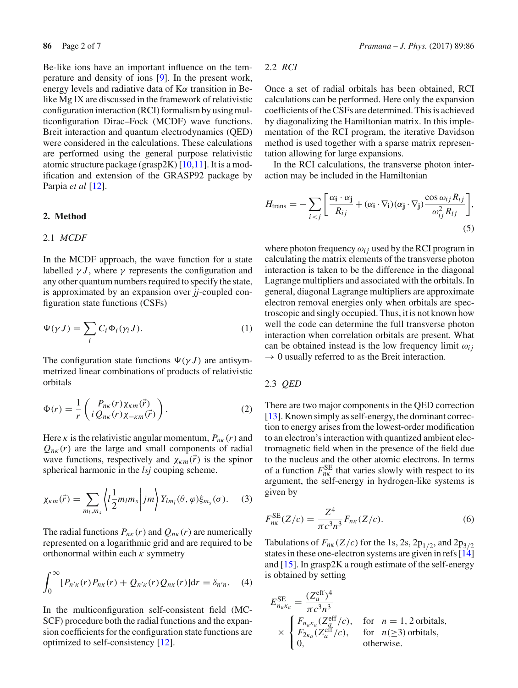Be-like ions have an important influence on the temperature and density of ions [\[9](#page-6-8)]. In the present work, energy levels and radiative data of  $K\alpha$  transition in Belike Mg IX are discussed in the framework of relativistic configuration interaction (RCI) formalism by using multiconfiguration Dirac–Fock (MCDF) wave functions. Breit interaction and quantum electrodynamics (QED) were considered in the calculations. These calculations are performed using the general purpose relativistic atomic structure package (grasp2K) [\[10](#page-6-9)[,11](#page-6-10)]. It is a modification and extension of the GRASP92 package by Parpia *et al* [\[12\]](#page-6-11).

## **2. Method**

## 2.1 *MCDF*

In the MCDF approach, the wave function for a state labelled  $\gamma J$ , where  $\gamma$  represents the configuration and any other quantum numbers required to specify the state, is approximated by an expansion over *jj*-coupled configuration state functions (CSFs)

$$
\Psi(\gamma J) = \sum_{i} C_i \Phi_i(\gamma_i J). \tag{1}
$$

The configuration state functions  $\Psi(\gamma J)$  are antisymmetrized linear combinations of products of relativistic orbitals

$$
\Phi(r) = \frac{1}{r} \begin{pmatrix} P_{n\kappa}(r) \chi_{\kappa m}(\vec{r}) \\ i Q_{n\kappa}(r) \chi_{-\kappa m}(\vec{r}) \end{pmatrix} . \tag{2}
$$

Here  $\kappa$  is the relativistic angular momentum,  $P_{n\kappa}(r)$  and  $Q_{n\kappa}(r)$  are the large and small components of radial wave functions, respectively and  $\chi_{k m}(\vec{r})$  is the spinor spherical harmonic in the *lsj* couping scheme.

$$
\chi_{\kappa m}(\vec{r}) = \sum_{m_l, m_s} \left\langle l \frac{1}{2} m_l m_s \middle| j m \right\rangle Y_{lm_l}(\theta, \varphi) \xi_{m_s}(\sigma). \tag{3}
$$

The radial functions  $P_{n\kappa}(r)$  and  $Q_{n\kappa}(r)$  are numerically represented on a logarithmic grid and are required to be orthonormal within each  $\kappa$  symmetry

$$
\int_0^{\infty} [P_{n'\kappa}(r)P_{n\kappa}(r) + Q_{n'\kappa}(r)Q_{n\kappa}(r)]\mathrm{d}r = \delta_{n'n}.
$$
 (4)

In the multiconfiguration self-consistent field (MC-SCF) procedure both the radial functions and the expansion coefficients for the configuration state functions are optimized to self-consistency [\[12](#page-6-11)].

# 2.2 *RCI*

Once a set of radial orbitals has been obtained, RCI calculations can be performed. Here only the expansion coefficients of the CSFs are determined. This is achieved by diagonalizing the Hamiltonian matrix. In this implementation of the RCI program, the iterative Davidson method is used together with a sparse matrix representation allowing for large expansions.

In the RCI calculations, the transverse photon interaction may be included in the Hamiltonian

$$
H_{\text{trans}} = -\sum_{i < j} \left[ \frac{\alpha_{\mathbf{i}} \cdot \alpha_{\mathbf{j}}}{R_{ij}} + (\alpha_{\mathbf{i}} \cdot \nabla_{\mathbf{i}}) (\alpha_{\mathbf{j}} \cdot \nabla_{\mathbf{j}}) \frac{\cos \omega_{ij} R_{ij}}{\omega_{ij}^2 R_{ij}} \right],\tag{5}
$$

where photon frequency  $\omega_{ij}$  used by the RCI program in calculating the matrix elements of the transverse photon interaction is taken to be the difference in the diagonal Lagrange multipliers and associated with the orbitals. In general, diagonal Lagrange multipliers are approximate electron removal energies only when orbitals are spectroscopic and singly occupied. Thus, it is not known how well the code can determine the full transverse photon interaction when correlation orbitals are present. What can be obtained instead is the low frequency limit  $\omega_{ij}$  $\rightarrow 0$  usually referred to as the Breit interaction.

## 2.3 *QED*

There are two major components in the QED correction [\[13](#page-6-12)]. Known simply as self-energy, the dominant correction to energy arises from the lowest-order modification to an electron's interaction with quantized ambient electromagnetic field when in the presence of the field due to the nucleus and the other atomic electrons. In terms of a function  $F_{nk}^{SE}$  that varies slowly with respect to its argument, the self-energy in hydrogen-like systems is given by

$$
F_{n\kappa}^{\text{SE}}(Z/c) = \frac{Z^4}{\pi c^3 n^3} F_{n\kappa}(Z/c). \tag{6}
$$

Tabulations of  $F_{n\kappa}(Z/c)$  for the 1s, 2s, 2p<sub>1/2</sub>, and 2p<sub>3/2</sub> states in these one-electron systems are given in refs [\[14\]](#page-6-13) and [\[15](#page-6-14)]. In grasp2K a rough estimate of the self-energy is obtained by setting

$$
E_{n_a \kappa_a}^{\text{SE}} = \frac{(Z_a^{\text{eff}})^4}{\pi c^3 n^3}
$$
  
\n
$$
\times \begin{cases} F_{n_a \kappa_a} (Z_a^{\text{eff}}/c), & \text{for } n = 1, 2 \text{ orbitals}, \\ F_{2\kappa_a} (Z_a^{\text{eff}}/c), & \text{for } n (\ge 3) \text{ orbitals}, \\ 0, & \text{otherwise.} \end{cases}
$$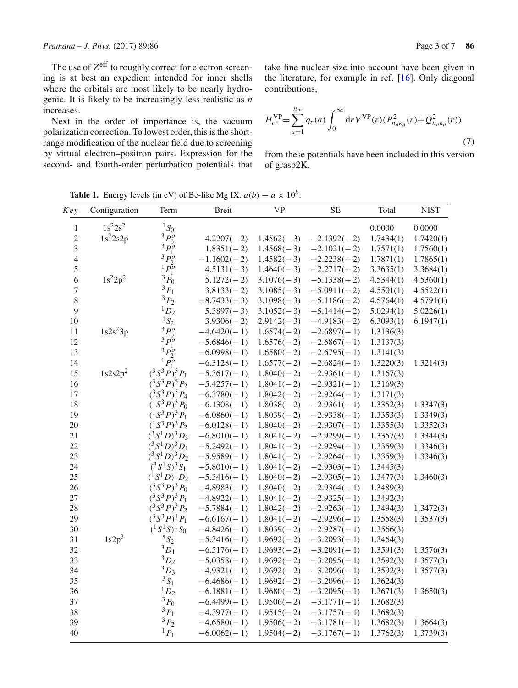The use of  $Z^{\text{eff}}$  to roughly correct for electron screening is at best an expedient intended for inner shells where the orbitals are most likely to be nearly hydrogenic. It is likely to be increasingly less realistic as *n* increases.

Next in the order of importance is, the vacuum polarization correction. To lowest order, this is the shortrange modification of the nuclear field due to screening by virtual electron–positron pairs. Expression for the second- and fourth-order perturbation potentials that take fine nuclear size into account have been given in the literature, for example in ref. [\[16\]](#page-6-15). Only diagonal contributions,

$$
H_{rr}^{\text{VP}} = \sum_{a=1}^{n_w} q_r(a) \int_0^\infty dr \, V^{\text{VP}}(r) (P_{n_a \kappa_a}^2(r) + Q_{n_a \kappa_a}^2(r)) \tag{7}
$$

from these potentials have been included in this version of grasp2K.

*Key* Configuration Term Breit VP SE Total NIST  $1 \t 1s^2 2s^2 \t 1S_0$  0.0000 0.0000 0.0000 2  $1s^2 2s 2p$   $3p_0^o$  $4.2207(-2)$   $1.4562(-3)$   $-2.1392(-2)$   $1.7434(1)$   $1.7420(1)$ <br> $1.8351(-2)$   $1.4568(-3)$   $-2.1021(-2)$   $1.7571(1)$   $1.7560(1)$ 3  $\frac{3p_1^6}{4}$  $1.8351(-2)$   $1.4568(-3)$   $-2.1021(-2)$   $1.7571(1)$   $1.7560(1)$ <br> $-1.1602(-2)$   $1.4582(-3)$   $-2.2238(-2)$   $1.7871(1)$   $1.7865(1)$ 4 <sup>3</sup>*P<sup>o</sup>*  $1.1602(-2)$   $1.4582(-3)$   $-2.2238(-2)$   $1.7871(1)$   $1.7865(1)$ <br> $4.5131(-3)$   $1.4640(-3)$   $-2.2717(-2)$   $3.3635(1)$   $3.3684(1)$ 5  $1s^22p^2$   $\frac{1p_0^5}{3p_0^5}$  $1.45131(-3)$   $1.4640(-3)$   $-2.2717(-2)$   $3.3635(1)$   $3.3684(1)$ <br> $5.1272(-2)$   $3.1076(-3)$   $-5.1338(-2)$   $4.5344(1)$   $4.5360(1)$ 6  $1s^22p^2$   $\frac{3}{2}P_0$  5.1272(−2) 3.1076(−3) −5.1338(−2) 4.5344(1) 4.5360(1) <sup>7</sup> <sup>3</sup>*P*<sup>1</sup> <sup>3</sup>.8133(<sup>−</sup> <sup>2</sup>) <sup>3</sup>.1085(<sup>−</sup> <sup>3</sup>) <sup>−</sup>5.0911(<sup>−</sup> <sup>2</sup>) 4.5501(1) 4.5522(1) 8 <sup>3</sup>P<sub>2</sub> −8.7433(−3) 3.1098(−3) −5.1186(−2) 4.5764(1) 4.5791(1) 9 <sup>1</sup>D<sub>2</sub> 5.3897(−3) 3.1052(−3) −5.1414(−2) 5.0294(1) 5.0226(1) 10 <sup>1</sup><sub>2</sub> <sup>1</sup><sub>2</sub><sup>3</sup> <sup>3</sup><sub>2</sub> <sup>3</sup> 3.9306(−2) 2.9142(−3) −4.9183(−2) 6.3093(1) 6.1947(1) 11  $1s2s^23p$   $3p_0^0$  $-4.6420(-1)$   $1.6574(-2)$   $-2.6897(-1)$   $1.3136(3)$ <br> $-5.6846(-1)$   $1.6576(-2)$   $-2.6867(-1)$   $1.3137(3)$ 12  $3\overline{P_1^o}$  $1.6576(-2)$  -2.6867(-1) 1.3137(3)<br>1.6580(-2) -2.6795(-1) 1.3141(3) 13  $3P_2^b$  $-6.0998(-1)$   $1.6580(-2)$   $-2.6795(-1)$   $1.3141(3)$ <br> $-6.3128(-1)$   $1.6577(-2)$   $-2.6824(-1)$   $1.3220(3)$ 14<br>15  $1s2s2p^2$   $(3S^3P)^5P_1$  $-6.3128(-1)$   $1.6577(-2)$   $-2.6824(-1)$   $1.3220(3)$   $1.3214(3)$ <br> $-5.3617(-1)$   $1.8040(-2)$   $-2.9361(-1)$   $1.3167(3)$ 15 1s2s2p<sup>2</sup> (<sup>3</sup> *<sup>S</sup>*3*P*)5*P*<sup>1</sup> <sup>−</sup>5.3617(<sup>−</sup> <sup>1</sup>) <sup>1</sup>.8040(<sup>−</sup> <sup>2</sup>) <sup>−</sup>2.9361(<sup>−</sup> <sup>1</sup>) 1.3167(3) 16 (<sup>3</sup> *S*<sup>3</sup>*P*)<sup>5</sup>*P*<sub>2</sub> −5.4257(−1) 1.8041(−2) −2.9321(−1) 1.3169(3)<br>
(<sup>3</sup> *S*<sup>3</sup>*P*)<sup>5</sup>*P*<sub>4</sub> −6.3780(−1) 1.8042(−2) −2.9264(−1) 1.3171(3) 17  $({}^3S^3P)^5P_4$  −6.3780(−1) 1.8042(−2) −2.9264(−1) 1.3171(3)<br>18  $({}^1S^3P)^3P_0$  −6.1308(−1) 1.8038(−2) −2.9361(−1) 1.3352(3) 18 (<sup>1</sup> *S*<sup>3</sup>*P*<sub>0</sub><sup>3</sup>*P*<sub>0</sub> −6.1308(−1) 1.8038(−2) −2.9361(−1) 1.3352(3) 1.3347(3) 19 (<sup>1</sup> *S*<sup>3</sup>*P*<sub>1</sub><sup>3</sup> −6.0860(− 1) 1.8039(− 2) −2.9338(− 1) 1.3353(3) 1.3349(3) 20  $\left(\frac{1}{2}S^3P\right)^3P_2$  −6.0128(−1) 1.8040(−2) −2.9307(−1) 1.3355(3) 1.3352(3) 21 (<sup>3</sup> S<sup>1</sup>D)<sup>3</sup>D<sub>3</sub> −6.8010(−1) 1.8041(−2) −2.9299(−1) 1.3357(3) 1.3344(3) 22 (<sup>3</sup> *S*<sup>1</sup>*D*)<sup>3</sup><sub>2</sub>*D*<sub>1</sub> −5.2492(−1) 1.8041(−2) −2.9294(−1) 1.3359(3) 1.3346(3) <sup>23</sup> (<sup>3</sup> *<sup>S</sup>*1*D*)3*D*<sup>2</sup> <sup>−</sup>5.9589(<sup>−</sup> <sup>1</sup>) <sup>1</sup>.8041(<sup>−</sup> <sup>2</sup>) <sup>−</sup>2.9264(<sup>−</sup> <sup>1</sup>) 1.3359(3) 1.3346(3) 24 (<sup>3</sup> *S*<sup>1</sup> *S*)<sup>3</sup> *S*<sub>1</sub> −5.8010(−1) 1.8041(−2) −2.9303(−1) 1.3445(3)<br>
25 (<sup>1</sup> *S*<sup>1</sup> *D*)<sup>1</sup> *D*<sub>2</sub> −5.3416(−1) 1.8040(−2) −2.9305(−1) 1.3477(3) 25 (<sup>1</sup><sub>2</sub><sup>1</sup>D<sub>2</sub> −5.3416(−1) 1.8040(−2) −2.9305(−1) 1.3477(3) 1.3460(3) 26 (<sup>3</sup> <sup>3</sup> *P*)<sup>3</sup>*P*<sub>0</sub> −4.8983(−1) 1.8040(−2) −2.9364(−1) 1.3489(3) 27  $({}^3S^3P)^3P_1$  -4.8922(-1) 1.8041(-2) -2.9325(-1) 1.3492(3)<br>  $({}^3S^3P)^3P_2$  -5.7884(-1) 1.8042(-2) -2.9263(-1) 1.3494(3) <sup>28</sup> (<sup>3</sup> *<sup>S</sup>*3*P*)3*P*<sup>2</sup> <sup>−</sup>5.7884(<sup>−</sup> <sup>1</sup>) <sup>1</sup>.8042(<sup>−</sup> <sup>2</sup>) <sup>−</sup>2.9263(<sup>−</sup> <sup>1</sup>) 1.3494(3) 1.3472(3) 29 (<sup>3</sup> <sup>3</sup> *P*<sup>1</sup> *P*<sub>1</sub> −6.6167(−1) 1.8041(−2) −2.9296(−1) 1.3558(3) 1.3537(3) 30 (<sup>1</sup> *S*<sup>1</sup> *S*<sup>1</sup> *S*<sub>0</sub> −4.8426(−1) 1.8039(−2) −2.9287(−1) 1.3566(3) 31  $1s2p^3$   $5s_2$   $-5.3416(-1)$   $1.9692(-2)$   $-3.2093(-1)$   $1.3464(3)$ <br>32  $3D_1$   $-6.5176(-1)$   $1.9693(-2)$   $-3.2091(-1)$   $1.3591(3)$ <sup>32</sup> <sup>3</sup>*D*<sup>1</sup> <sup>−</sup>6.5176(<sup>−</sup> <sup>1</sup>) <sup>1</sup>.9693(<sup>−</sup> <sup>2</sup>) <sup>−</sup>3.2091(<sup>−</sup> <sup>1</sup>) 1.3591(3) 1.3576(3) <sup>33</sup> <sup>3</sup>*D*<sup>2</sup> <sup>−</sup>5.0358(<sup>−</sup> <sup>1</sup>) <sup>1</sup>.9692(<sup>−</sup> <sup>2</sup>) <sup>−</sup>3.2095(<sup>−</sup> <sup>1</sup>) 1.3592(3) 1.3577(3) 33  ${}^{3}D_{2}$  −5.0358(-1) 1.9692(-2) −3.2095(-1) 1.3592(3) 1.3577(3)<br>
34  ${}^{3}D_{3}$  -4.9321(-1) 1.9692(-2) −3.2096(-1) 1.3592(3) 1.3577(3)<br>
35  ${}^{3}S_{1}$  -6.4686(-1) 1.9692(-2) −3.2096(-1) 1.3624(3) 35  ${}^{3}S_{1}$  -6.4686(-1) 1.9692(-2) -3.2096(-1) 1.3624(3)<br>36  ${}^{1}D_{2}$  -6.1881(-1) 1.9680(-2) -3.2095(-1) 1.3671(3) <sup>36</sup> <sup>1</sup>*D*<sup>2</sup> <sup>−</sup>6.1881(<sup>−</sup> <sup>1</sup>) <sup>1</sup>.9680(<sup>−</sup> <sup>2</sup>) <sup>−</sup>3.2095(<sup>−</sup> <sup>1</sup>) 1.3671(3) 1.3650(3) 37 <sup>3</sup> *P*<sub>0</sub> −6.4499(−1) 1.9506(−2) −3.1771(−1) 1.3682(3) <sup>38</sup> <sup>3</sup>*P*<sup>1</sup> <sup>−</sup>4.3977(<sup>−</sup> <sup>1</sup>) <sup>1</sup>.9515(<sup>−</sup> <sup>2</sup>) <sup>−</sup>3.1757(<sup>−</sup> <sup>1</sup>) 1.3682(3) <sup>39</sup> <sup>3</sup>*P*<sup>2</sup> <sup>−</sup>4.6580(<sup>−</sup> <sup>1</sup>) <sup>1</sup>.9506(<sup>−</sup> <sup>2</sup>) <sup>−</sup>3.1781(<sup>−</sup> <sup>1</sup>) 1.3682(3) 1.3664(3) <sup>40</sup> <sup>1</sup>*P*<sup>1</sup> <sup>−</sup>6.0062(<sup>−</sup> <sup>1</sup>) <sup>1</sup>.9504(<sup>−</sup> <sup>2</sup>) <sup>−</sup>3.1767(<sup>−</sup> <sup>1</sup>) 1.3762(3) 1.3739(3)

<span id="page-2-0"></span>**Table 1.** Energy levels (in eV) of Be-like Mg IX.  $a(b) \equiv a \times 10^b$ .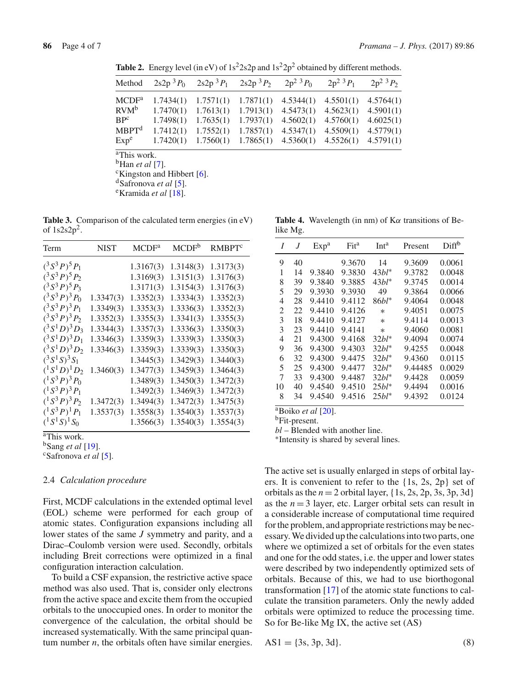<span id="page-3-0"></span>

| Method                |           | $2s2p3P_0$ $2s2p3P_1$ $2s2p3P_2$ $2p2$ <sup>3</sup> $P_0$               |           |           | $2p^2$ $^3P_1$ $2p^2$ $^3P_2$       |           |
|-----------------------|-----------|-------------------------------------------------------------------------|-----------|-----------|-------------------------------------|-----------|
| MCDF <sup>a</sup>     |           | $1.7434(1)$ $1.7571(1)$ $1.7871(1)$                                     |           |           | $4.5344(1)$ $4.5501(1)$ $4.5764(1)$ |           |
| $RVM^b$               |           | $1.7470(1)$ $1.7613(1)$ $1.7913(1)$                                     |           |           | $4.5473(1)$ $4.5623(1)$ $4.5901(1)$ |           |
| $BP^c$                |           | $1.7498(1)$ $1.7635(1)$                                                 | 1.7937(1) | 4.5602(1) | 4.5760(1)                           | 4.6025(1) |
| MBPT <sup>d</sup>     | 1.7412(1) | 1.7552(1)                                                               | 1.7857(1) | 4.5347(1) | $4.5509(1)$ $4.5779(1)$             |           |
| Exp <sup>e</sup>      |           | $1.7420(1)$ $1.7560(1)$ $1.7865(1)$ $4.5360(1)$ $4.5526(1)$ $4.5791(1)$ |           |           |                                     |           |
| $\sim$ $ \sim$ $\sim$ |           |                                                                         |           |           |                                     |           |

**Table 2.** Energy level (in eV) of  $1s^2 2s2p$  and  $1s^2 2p^2$  obtained by different methods.

<sup>a</sup>This work.<br><sup>b</sup>Han *et al* [7].

<sup>c</sup>Kingston and Hibbert [\[6](#page-6-5)].

dSafronova *et al* [\[5](#page-6-4)]. eKramida *et al* [\[18\]](#page-6-16).

<span id="page-3-1"></span>**Table 3.** Comparison of the calculated term energies (in eV) of  $1s2s2p^2$ .

| Term                      | <b>NIST</b> | <b>MCDF</b> <sup>a</sup> | $MCDF^b$  | RMBPT <sup>c</sup> |
|---------------------------|-------------|--------------------------|-----------|--------------------|
| $({}^3S^3P)^5P_1$         |             | 1.3167(3)                | 1.3148(3) | 1.3173(3)          |
| $(^3S^3P)^5P_2$           |             | 1.3169(3)                | 1.3151(3) | 1.3176(3)          |
| $(^3S^3P)^5P_3$           |             | 1.3171(3)                | 1.3154(3) | 1.3176(3)          |
| $(^3S^3P)^3P_0$           | 1.3347(3)   | 1.3352(3)                | 1.3334(3) | 1.3352(3)          |
| $(^3S^3P)^3P_1$           | 1.3349(3)   | 1.3353(3)                | 1.3336(3) | 1.3352(3)          |
| $(^3S^3P)^3P_2$           | 1.3352(3)   | 1.3355(3)                | 1.3341(3) | 1.3355(3)          |
| $({}^3S^1D)^3D_3$         | 1.3344(3)   | 1.3357(3)                | 1.3336(3) | 1.3350(3)          |
| $({}^3S^1D)^3D_1$         | 1.3346(3)   | 1.3359(3)                | 1.3339(3) | 1.3350(3)          |
| $({}^3S^1D)^3D_2$         | 1.3346(3)   | 1.3359(3)                | 1.3339(3) | 1.3350(3)          |
| $({}^3S^1S)^3S_1$         |             | 1.3445(3)                | 1.3429(3) | 1.3440(3)          |
| $({}^{1}S^{1}D)^{1}D_{2}$ | 1.3460(3)   | 1.3477(3)                | 1.3459(3) | 1.3464(3)          |
| $(^1S^3P)^3P_0$           |             | 1.3489(3)                | 1.3450(3) | 1.3472(3)          |
| $(^1S^3P)^3P_1$           |             | 1.3492(3)                | 1.3469(3) | 1.3472(3)          |
| $(^1S^3P)^3P_2$           | 1.3472(3)   | 1.3494(3)                | 1.3472(3) | 1.3475(3)          |
| $(^1S^3P)^1P_1$           | 1.3537(3)   | 1.3558(3)                | 1.3540(3) | 1.3537(3)          |
| $({}^{1}S^{1}S)^{1}S_{0}$ |             | 1.3566(3)                | 1.3540(3) | 1.3554(3)          |

aThis work.

<sup>b</sup>Sang *et al* [\[19\]](#page-6-17).<br><sup>c</sup>Safronova *et al* [\[5\]](#page-6-4).

#### 2.4 *Calculation procedure*

First, MCDF calculations in the extended optimal level (EOL) scheme were performed for each group of atomic states. Configuration expansions including all lower states of the same *J* symmetry and parity, and a Dirac–Coulomb version were used. Secondly, orbitals including Breit corrections were optimized in a final configuration interaction calculation.

To build a CSF expansion, the restrictive active space method was also used. That is, consider only electrons from the active space and excite them from the occupied orbitals to the unoccupied ones. In order to monitor the convergence of the calculation, the orbital should be increased systematically. With the same principal quantum number *n*, the orbitals often have similar energies.

<span id="page-3-2"></span>**Table 4.** Wavelength (in nm) of  $K\alpha$  transitions of Belike Mg.

| I  | J  | Exp <sup>a</sup> | Fit <sup>a</sup> | Int <sup>a</sup> | Present | Diff <sup>b</sup> |
|----|----|------------------|------------------|------------------|---------|-------------------|
| 9  | 40 |                  | 9.3670           | 14               | 9.3609  | 0.0061            |
| 1  | 14 | 9.3840           | 9.3830           | $43bl*$          | 9.3782  | 0.0048            |
| 8  | 39 | 9.3840           | 9.3885           | $43bl^*$         | 9.3745  | 0.0014            |
| 5  | 29 | 9.3930           | 9.3930           | 49               | 9.3864  | 0.0066            |
| 4  | 28 | 9.4410           | 9.4112           | $86bl*$          | 9.4064  | 0.0048            |
| 2  | 22 | 9.4410           | 9.4126           | $\ast$           | 9.4051  | 0.0075            |
| 3  | 18 | 9.4410           | 9.4127           | $\ast$           | 9.4114  | 0.0013            |
| 3  | 23 | 9.4410           | 9.4141           | $\ast$           | 9.4060  | 0.0081            |
| 4  | 21 | 9.4300           | 9.4168           | $32bl^*$         | 9.4094  | 0.0074            |
| 9  | 36 | 9.4300           | 9.4303           | $32bl^*$         | 9.4255  | 0.0048            |
| 6  | 32 | 9.4300           | 9.4475           | $32bl*$          | 9.4360  | 0.0115            |
| 5  | 25 | 9.4300           | 9.4477           | $32bl^*$         | 9.44485 | 0.0029            |
| 7  | 33 | 9.4300           | 9.4487           | $32bl^*$         | 9.4428  | 0.0059            |
| 10 | 40 | 9.4540           | 9.4510           | $25bl*$          | 9.4494  | 0.0016            |
| 8  | 34 | 9.4540           | 9.4516           | $25bl*$          | 9.4392  | 0.0124            |
|    |    |                  |                  |                  |         |                   |

aBoiko *et al* [\[20\]](#page-6-18).

bFit-present.

*bl* – Blended with another line.

∗Intensity is shared by several lines.

The active set is usually enlarged in steps of orbital layers. It is convenient to refer to the {1s, 2s, 2p} set of orbitals as the  $n = 2$  orbital layer,  $\{1s, 2s, 2p, 3s, 3p, 3d\}$ as the  $n = 3$  layer, etc. Larger orbital sets can result in a considerable increase of computational time required for the problem, and appropriate restrictions may be necessary. We divided up the calculations into two parts, one where we optimized a set of orbitals for the even states and one for the odd states, i.e. the upper and lower states were described by two independently optimized sets of orbitals. Because of this, we had to use biorthogonal transformation [\[17](#page-6-19)] of the atomic state functions to calculate the transition parameters. Only the newly added orbitals were optimized to reduce the processing time. So for Be-like Mg IX, the active set (AS)

 $AS1 = \{3s, 3p, 3d\}.$  (8)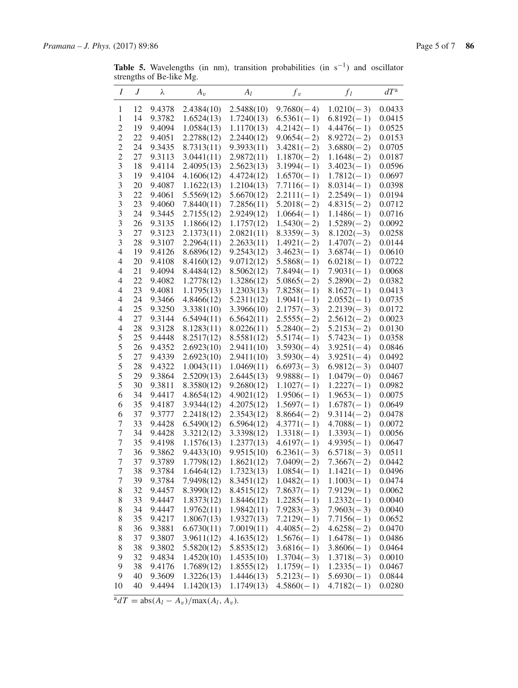<span id="page-4-0"></span>**Table 5.** Wavelengths (in nm), transition probabilities (in s−1) and oscillator strengths of Be-like Mg.

| $\boldsymbol{I}$                     | J        | λ                | $A_v$                    | $A_l$                    | f <sub>v</sub>               | $f_l$                        | $dT^a$           |
|--------------------------------------|----------|------------------|--------------------------|--------------------------|------------------------------|------------------------------|------------------|
| 1                                    | 12       | 9.4378           | 2.4384(10)               | 2.5488(10)               | $9.7680(-4)$                 | $1.0210(-3)$                 | 0.0433           |
| $\mathbf{1}$                         | 14       | 9.3782           | 1.6524(13)               | 1.7240(13)               | $6.5361(-1)$                 | $6.8192(-1)$                 | 0.0415           |
| $\overline{c}$                       | 19       | 9.4094           | 1.0584(13)               | 1.1170(13)               | $4.2142(-1)$                 | $4.4476(-1)$                 | 0.0525           |
| $\overline{c}$                       | 22       | 9.4051           | 2.2788(12)               | 2.2440(12)               | $9.0654(-2)$                 | $8.9272(-2)$                 | 0.0153           |
| $\overline{c}$                       | 24       | 9.3435           | 8.7313(11)               | 9.3933(11)               | $3.4281(-2)$                 | $3.6880(-2)$                 | 0.0705           |
| $\overline{2}$                       | 27       | 9.3113           | 3.0441(11)               | 2.9872(11)               | $1.1870(-2)$                 | $1.1648(-2)$                 | 0.0187           |
| 3                                    | 18       | 9.4114           | 2.4095(13)               | 2.5623(13)               | $3.1994(-1)$                 | $3.4023(-1)$                 | 0.0596           |
| 3                                    | 19       | 9.4104           | 4.1606(12)               | 4.4724(12)               | $1.6570(-1)$                 | $1.7812(-1)$                 | 0.0697           |
| 3                                    | 20       | 9.4087           | 1.1622(13)               | 1.2104(13)               | $7.7116(-1)$                 | $8.0314(-1)$                 | 0.0398           |
| 3                                    | 22       | 9.4061           | 5.5569(12)               | 5.6670(12)               | $2.2111(-1)$                 | $2.2549(-1)$                 | 0.0194           |
| 3                                    | 23       | 9.4060           | 7.8440(11)               | 7.2856(11)               | $5.2018(-2)$                 | $4.8315(-2)$                 | 0.0712           |
| 3                                    | 24       | 9.3445           | 2.7155(12)               | 2.9249(12)               | $1.0664(-1)$                 | $1.1486(-1)$                 | 0.0716           |
| 3                                    | 26       | 9.3135           | 1.1866(12)               | 1.1757(12)               | $1.5430(-2)$                 | $1.5289(-2)$                 | 0.0092           |
| 3                                    | 27       | 9.3123           | 2.1373(11)               | 2.0821(11)               | $8.3359(-3)$                 | $8.1202(-3)$                 | 0.0258           |
| 3                                    | 28       | 9.3107           | 2.2964(11)               | 2.2633(11)               | $1.4921(-2)$                 | $1.4707(-2)$                 | 0.0144           |
| $\overline{4}$                       | 19       | 9.4126           | 8.6896(12)               | 9.2543(12)               | $3.4623(-1)$                 | $3.6874(-1)$                 | 0.0610           |
| $\overline{4}$                       | 20       | 9.4108           | 8.4160(12)               | 9.0712(12)               | $5.5868(-1)$                 | $6.0218(-1)$                 | 0.0722           |
| $\overline{4}$                       | 21       | 9.4094           | 8.4484(12)               | 8.5062(12)               | $7.8494(-1)$                 | $7.9031(-1)$                 | 0.0068           |
| $\overline{4}$                       | 22       | 9.4082           | 1.2778(12)               | 1.3286(12)               | $5.0865(-2)$                 | $5.2890(-2)$                 | 0.0382           |
| 4                                    | 23       | 9.4081           | 1.1795(13)               | 1.2303(13)               | $7.8258(-1)$                 | $8.1627(-1)$                 | 0.0413           |
| 4                                    | 24       | 9.3466           | 4.8466(12)               | 5.2311(12)               | $1.9041(-1)$                 | $2.0552(-1)$                 | 0.0735           |
| 4                                    | 25       | 9.3250           | 3.3381(10)               | 3.3966(10)               | $2.1757(-3)$                 | $2.2139(-3)$                 | 0.0172           |
| 4                                    | 27       | 9.3144           | 6.5494(11)               | 6.5642(11)               | $2.5555(-2)$                 | $2.5612(-2)$                 | 0.0023           |
| $\overline{4}$                       | 28       | 9.3128           | 8.1283(11)               | 8.0226(11)               | $5.2840(-2)$                 | $5.2153(-2)$                 | 0.0130           |
| 5                                    | 25       | 9.4448           | 8.2517(12)               | 8.5581(12)               | $5.5174(-1)$                 | $5.7423(-1)$                 | 0.0358           |
| 5                                    | 26       | 9.4352           | 2.6923(10)               | 2.9411(10)               | $3.5930(-4)$                 | $3.9251(-4)$                 | 0.0846           |
| 5                                    | 27       | 9.4339           | 2.6923(10)               | 2.9411(10)               | $3.5930(-4)$                 | $3.9251(-4)$                 | 0.0492           |
| 5                                    | 28       | 9.4322           | 1.0043(11)               | 1.0469(11)               | $6.6973(-3)$                 | $6.9812(-3)$                 | 0.0407           |
| 5                                    | 29       | 9.3864           | 2.5209(13)               | 2.6445(13)               | $9.9888(-1)$                 | $1.0479(-0)$                 | 0.0467           |
| 5                                    | 30       | 9.3811           | 8.3580(12)               | 9.2680(12)               | $1.1027(-1)$                 | $1.2227(-1)$                 | 0.0982           |
| 6                                    | 34       | 9.4417           | 4.8654(12)               | 4.9021(12)               | $1.9506(-1)$                 | $1.9653(-1)$                 | 0.0075           |
| 6                                    | 35       | 9.4187           | 3.9344(12)               | 4.2075(12)               | $1.5697(-1)$                 | $1.6787(-1)$                 | 0.0649           |
| 6                                    | 37       | 9.3777           | 2.2418(12)               | 2.3543(12)               | $8.8664(-2)$                 | $9.3114(-2)$                 | 0.0478           |
| 7                                    | 33       | 9.4428           | 6.5490(12)               | 6.5964(12)               | $4.3771(-1)$                 | $4.7088(-1)$                 | 0.0072           |
| $\overline{7}$                       | 34       | 9.4428           | 3.3212(12)               | 3.3398(12)               | $1.3318(-1)$                 | $1.3393(-1)$                 | 0.0056           |
| $\boldsymbol{7}$<br>$\boldsymbol{7}$ | 35       | 9.4198           | 1.1576(13)               | 1.2377(13)               | $4.6197(-1)$                 | $4.9395(-1)$                 | 0.0647           |
| 7                                    | 36       | 9.3862           | 9.4433(10)               | 9.9515(10)               | $6.2361(-3)$                 | $6.5718(-3)$<br>$7.3667(-2)$ | 0.0511           |
| 7                                    | 37<br>38 | 9.3789<br>9.3784 | 1.7798(12)<br>1.6464(12) | 1.8621(12)               | $7.0409(-2)$<br>$1.0854(-1)$ |                              | 0.0442<br>0.0496 |
|                                      |          |                  |                          | 1.7323(13)               | $1.0482(-1)$                 | $1.1421(-1)$                 |                  |
| 7<br>8                               | 39<br>32 | 9.3784<br>9.4457 | 7.9498(12)<br>8.3990(12) | 8.3451(12)<br>8.4515(12) | $7.8637(-1)$                 | $1.1003(-1)$<br>$7.9129(-1)$ | 0.0474<br>0.0062 |
| 8                                    | 33       | 9.4447           | 1.8373(12)               | 1.8446(12)               | $1.2285(-1)$                 | $1.2332(-1)$                 | 0.0040           |
| 8                                    | 34       | 9.4447           | 1.9762(11)               | 1.9842(11)               | $7.9283(-3)$                 | $7.9603(-3)$                 |                  |
| 8                                    | 35       | 9.4217           | 1.8067(13)               |                          | $7.2129(-1)$                 | $7.7156(-1)$                 | 0.0040           |
| 8                                    | 36       | 9.3881           | 6.6730(11)               | 1.9327(13)<br>7.0019(11) | $4.4085(-2)$                 | $4.6258(-2)$                 | 0.0652<br>0.0470 |
| 8                                    | 37       | 9.3807           | 3.9611(12)               | 4.1635(12)               | $1.5676(-1)$                 | $1.6478(-1)$                 | 0.0486           |
| 8                                    | 38       | 9.3802           | 5.5820(12)               | 5.8535(12)               | $3.6816(-1)$                 | $3.8606(-1)$                 | 0.0464           |
| 9                                    | 32       | 9.4834           | 1.4520(10)               | 1.4535(10)               | $1.3704(-3)$                 | $1.3718(-3)$                 | 0.0010           |
| 9                                    | 38       | 9.4176           | 1.7689(12)               | 1.8555(12)               | $1.1759(-1)$                 | $1.2335(-1)$                 | 0.0467           |
| 9                                    | 40       | 9.3609           | 1.3226(13)               | 1.4446(13)               | $5.2123(-1)$                 | $5.6930(-1)$                 | 0.0844           |
| 10                                   | 40       | 9.4494           | 1.1420(13)               | 1.1749(13)               | $4.5860(-1)$                 | $4.7182(-1)$                 | 0.0280           |
|                                      |          |                  |                          |                          |                              |                              |                  |

 $\overline{a}dT = \frac{abs(A_l - A_v)}{max(A_l, A_v)}$ .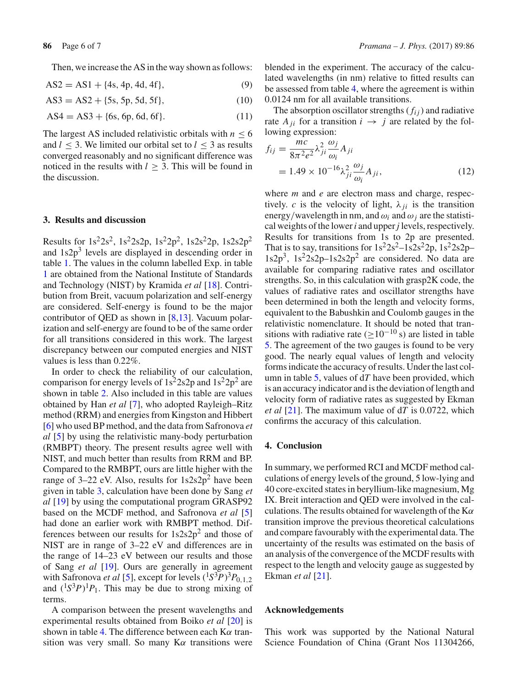Then, we increase the AS in the way shown as follows:

$$
AS2 = AS1 + \{4s, 4p, 4d, 4f\},\tag{9}
$$

$$
AS3 = AS2 + \{5s, 5p, 5d, 5f\},\tag{10}
$$

$$
AS4 = AS3 + \{6s, 6p, 6d, 6f\}.
$$
 (11)

The largest AS included relativistic orbitals with  $n \leq 6$ and  $l \leq 3$ . We limited our orbital set to  $l \leq 3$  as results converged reasonably and no significant difference was noticed in the results with *l* ≥ 3. This will be found in the discussion.

### **3. Results and discussion**

Results for  $1s^22s^2$ ,  $1s^22s2p$ ,  $1s^22p^2$ ,  $1s2s^22p$ ,  $1s2s2p^2$ and  $1s2p<sup>3</sup>$  levels are displayed in descending order in table [1.](#page-2-0) The values in the column labelled Exp. in table [1](#page-2-0) are obtained from the National Institute of Standards and Technology (NIST) by Kramida *et al* [\[18](#page-6-16)]. Contribution from Breit, vacuum polarization and self-energy are considered. Self-energy is found to be the major contributor of QED as shown in  $[8,13]$  $[8,13]$  $[8,13]$ . Vacuum polarization and self-energy are found to be of the same order for all transitions considered in this work. The largest discrepancy between our computed energies and NIST values is less than 0.22%.

In order to check the reliability of our calculation, comparison for energy levels of  $1s^22s2p$  and  $1s^22p^2$  are shown in table [2.](#page-3-0) Also included in this table are values obtained by Han *et al* [\[7\]](#page-6-6), who adopted Rayleigh–Ritz method (RRM) and energies from Kingston and Hibbert [\[6\]](#page-6-5) who used BP method, and the data from Safronova *et al* [\[5\]](#page-6-4) by using the relativistic many-body perturbation (RMBPT) theory. The present results agree well with NIST, and much better than results from RRM and BP. Compared to the RMBPT, ours are little higher with the range of 3–22 eV. Also, results for  $1s2s2p^2$  have been given in table [3,](#page-3-1) calculation have been done by Sang *et al* [\[19\]](#page-6-17) by using the computational program GRASP92 based on the MCDF method, and Safronova *et al* [\[5\]](#page-6-4) had done an earlier work with RMBPT method. Differences between our results for  $1s2s2p^2$  and those of NIST are in range of 3–22 eV and differences are in the range of 14–23 eV between our results and those of Sang *et al* [\[19\]](#page-6-17). Ours are generally in agreement with Safronova *et al* [\[5\]](#page-6-4), except for levels  $({}^{1}S^{3}P)^{3}P_{0,1,2}$ and  $({}^{1}S^{3}P)^{1}P_{1}$ . This may be due to strong mixing of terms.

A comparison between the present wavelengths and experimental results obtained from Boiko *et al* [\[20](#page-6-18)] is shown in table [4.](#page-3-2) The difference between each  $K\alpha$  transition was very small. So many  $K\alpha$  transitions were blended in the experiment. The accuracy of the calculated wavelengths (in nm) relative to fitted results can be assessed from table [4,](#page-3-2) where the agreement is within 0.0124 nm for all available transitions.

The absorption oscillator strengths  $(f_{ij})$  and radiative rate  $A_{ji}$  for a transition  $i \rightarrow j$  are related by the following expression:

$$
f_{ij} = \frac{mc}{8\pi^2 e^2} \lambda_{ji}^2 \frac{\omega_j}{\omega_i} A_{ji}
$$
  
= 1.49 × 10<sup>-16</sup>  $\lambda_{ji}^2 \frac{\omega_j}{\omega_i} A_{ji}$ , (12)

where *m* and *e* are electron mass and charge, respectively. *c* is the velocity of light,  $\lambda_{ii}$  is the transition energy/wavelength in nm, and  $\omega_i$  and  $\omega_j$  are the statistical weights of the lower*i* and upper*j* levels, respectively. Results for transitions from 1s to 2p are presented. That is to say, transitions for  $1s^22s^2-1s^2s^2p$ ,  $1s^22s^2p$  $1s2p^3$ ,  $1s^22s2p-1s2s2p^2$  are considered. No data are available for comparing radiative rates and oscillator strengths. So, in this calculation with grasp2K code, the values of radiative rates and oscillator strengths have been determined in both the length and velocity forms, equivalent to the Babushkin and Coulomb gauges in the relativistic nomenclature. It should be noted that transitions with radiative rate ( $\geq 10^{-10}$  s) are listed in table [5.](#page-4-0) The agreement of the two gauges is found to be very good. The nearly equal values of length and velocity forms indicate the accuracy of results. Under the last column in table [5,](#page-4-0) values of d*T* have been provided, which is an accuracy indicator and is the deviation of length and velocity form of radiative rates as suggested by Ekman *et al* [\[21\]](#page-6-20). The maximum value of d*T* is 0.0722, which confirms the accuracy of this calculation.

#### **4. Conclusion**

In summary, we performed RCI and MCDF method calculations of energy levels of the ground, 5 low-lying and 40 core-excited states in beryllium-like magnesium, Mg IX. Breit interaction and QED were involved in the calculations. The results obtained for wavelength of the  $K\alpha$ transition improve the previous theoretical calculations and compare favourably with the experimental data. The uncertainty of the results was estimated on the basis of an analysis of the convergence of the MCDF results with respect to the length and velocity gauge as suggested by Ekman *et al* [\[21](#page-6-20)].

#### **Acknowledgements**

This work was supported by the National Natural Science Foundation of China (Grant Nos 11304266,